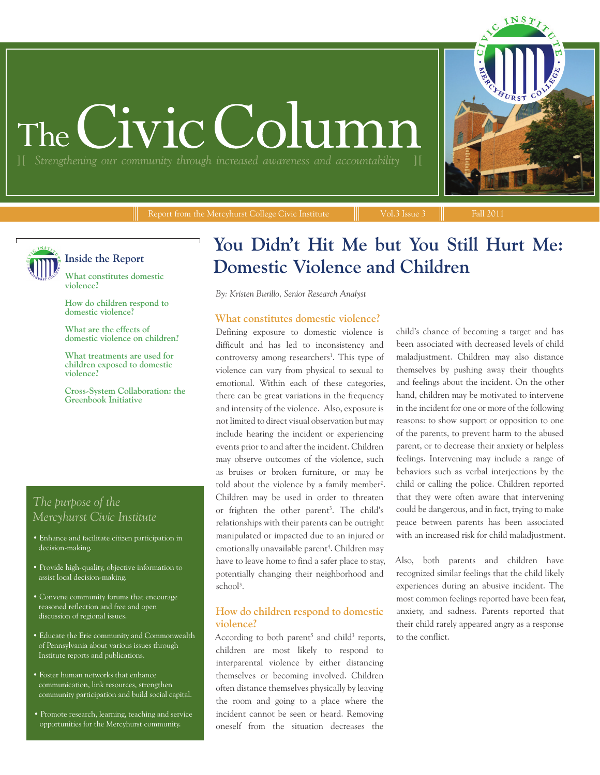# The Civic Colu

Report from the Mercyhurst College Civic Institute  $\|\cdot\|$  Vol.3 Issue 3  $\|\cdot\|$  Fall 2011



## **Inside the Report**

**What constitutes domestic violence?**

**How do children respond to domestic violence?**

**What are the effects of domestic violence on children?**

**What treatments are used for children exposed to domestic violence?**

**Cross-System Collaboration: the Greenbook Initiative**

# *The purpose of the Mercyhurst Civic Institute*

- Enhance and facilitate citizen participation in decision-making.
- Provide high-quality, objective information to assist local decision-making.
- Convene community forums that encourage reasoned reflection and free and open discussion of regional issues.
- Educate the Erie community and Commonwealth of Pennsylvania about various issues through Institute reports and publications.
- Foster human networks that enhance communication, link resources, strengthen community participation and build social capital.
- Promote research, learning, teaching and service opportunities for the Mercyhurst community.

# **You Didn't Hit Me but You Still Hurt Me: Domestic Violence and Children**

*By: Kristen Burillo, Senior Research Analyst*

## **What constitutes domestic violence?**

Defining exposure to domestic violence is difficult and has led to inconsistency and controversy among researchers<sup>1</sup>. This type of violence can vary from physical to sexual to emotional. Within each of these categories, there can be great variations in the frequency and intensity of the violence. Also, exposure is not limited to direct visual observation but may include hearing the incident or experiencing events prior to and after the incident. Children may observe outcomes of the violence, such as bruises or broken furniture, or may be told about the violence by a family member<sup>2</sup>. Children may be used in order to threaten or frighten the other parent<sup>3</sup>. The child's relationships with their parents can be outright manipulated or impacted due to an injured or emotionally unavailable parent<sup>4</sup>. Children may have to leave home to find a safer place to stay, potentially changing their neighborhood and school3 .

## **How do children respond to domestic violence?**

According to both parent<sup>5</sup> and child<sup>3</sup> reports, children are most likely to respond to interparental violence by either distancing themselves or becoming involved. Children often distance themselves physically by leaving the room and going to a place where the incident cannot be seen or heard. Removing oneself from the situation decreases the

child's chance of becoming a target and has been associated with decreased levels of child maladjustment. Children may also distance themselves by pushing away their thoughts and feelings about the incident. On the other hand, children may be motivated to intervene in the incident for one or more of the following reasons: to show support or opposition to one of the parents, to prevent harm to the abused parent, or to decrease their anxiety or helpless feelings. Intervening may include a range of behaviors such as verbal interjections by the child or calling the police. Children reported that they were often aware that intervening could be dangerous, and in fact, trying to make peace between parents has been associated with an increased risk for child maladjustment.

Also, both parents and children have recognized similar feelings that the child likely experiences during an abusive incident. The most common feelings reported have been fear, anxiety, and sadness. Parents reported that their child rarely appeared angry as a response to the conflict.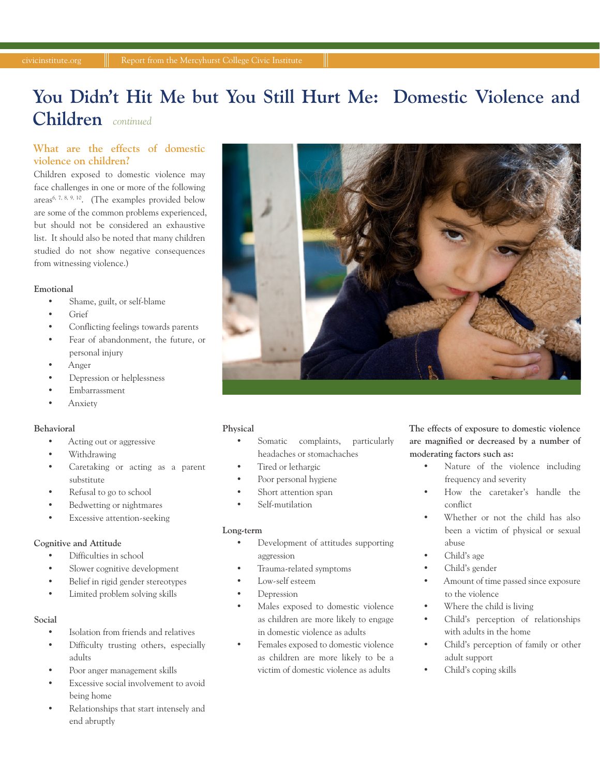# *continued* **Children You Didn't Hit Me but You Still Hurt Me: Domestic Violence and**

## **What are the effects of domestic violence on children?**

Children exposed to domestic violence may face challenges in one or more of the following areas6, 7, 8, 9, 10. (The examples provided below are some of the common problems experienced, but should not be considered an exhaustive list. It should also be noted that many children studied do not show negative consequences from witnessing violence.)

#### **Emotional**

- Shame, guilt, or self-blame
- Grief
- Conflicting feelings towards parents
- Fear of abandonment, the future, or personal injury
- Anger
- Depression or helplessness
- Embarrassment
- Anxiety

#### **Behavioral**

- Acting out or aggressive
- Withdrawing
- Caretaking or acting as a parent substitute
- Refusal to go to school
- Bedwetting or nightmares
- Excessive attention-seeking

## **Cognitive and Attitude**

- Difficulties in school
- Slower cognitive development
- Belief in rigid gender stereotypes
- Limited problem solving skills

### **Social**

- Isolation from friends and relatives
- Difficulty trusting others, especially adults
- Poor anger management skills
- Excessive social involvement to avoid being home
- Relationships that start intensely and end abruptly



#### **Physical**

- Somatic complaints, particularly headaches or stomachaches
- Tired or lethargic
- Poor personal hygiene
- Short attention span
- Self-mutilation

#### **Long-term**

- Development of attitudes supporting aggression
- Trauma-related symptoms
- Low-self esteem
- Depression
	- Males exposed to domestic violence as children are more likely to engage in domestic violence as adults
	- Females exposed to domestic violence as children are more likely to be a victim of domestic violence as adults

**The effects of exposure to domestic violence are magnified or decreased by a number of moderating factors such as:** 

- Nature of the violence including frequency and severity
- How the caretaker's handle the conflict
- Whether or not the child has also been a victim of physical or sexual abuse
- Child's age
- Child's gender
- Amount of time passed since exposure to the violence
- Where the child is living
- Child's perception of relationships with adults in the home
- Child's perception of family or other adult support
- Child's coping skills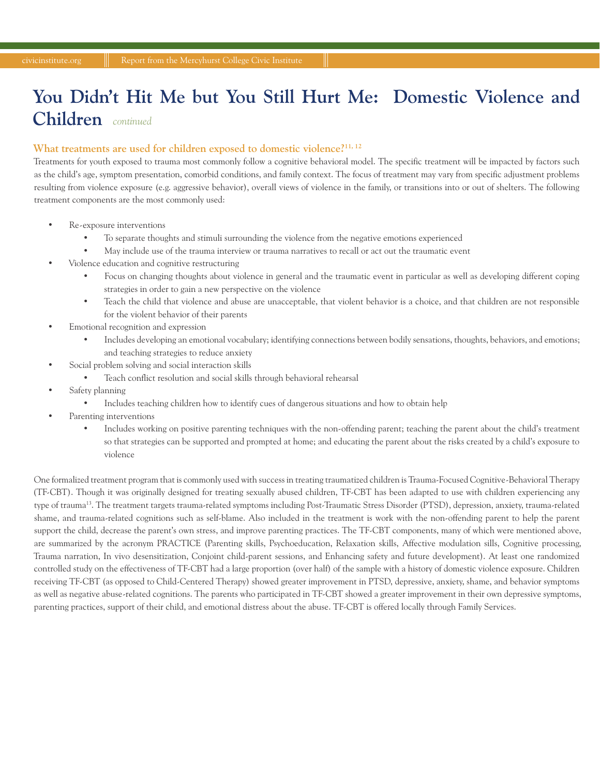# *continued* **Children You Didn't Hit Me but You Still Hurt Me: Domestic Violence and**

## What treatments are used for children exposed to domestic violence?<sup>11, 12</sup>

Treatments for youth exposed to trauma most commonly follow a cognitive behavioral model. The specific treatment will be impacted by factors such as the child's age, symptom presentation, comorbid conditions, and family context. The focus of treatment may vary from specific adjustment problems resulting from violence exposure (e.g. aggressive behavior), overall views of violence in the family, or transitions into or out of shelters. The following treatment components are the most commonly used:

- Re-exposure interventions
	- To separate thoughts and stimuli surrounding the violence from the negative emotions experienced
	- May include use of the trauma interview or trauma narratives to recall or act out the traumatic event
- Violence education and cognitive restructuring
	- Focus on changing thoughts about violence in general and the traumatic event in particular as well as developing different coping strategies in order to gain a new perspective on the violence
	- Teach the child that violence and abuse are unacceptable, that violent behavior is a choice, and that children are not responsible for the violent behavior of their parents
- Emotional recognition and expression
	- Includes developing an emotional vocabulary; identifying connections between bodily sensations, thoughts, behaviors, and emotions; and teaching strategies to reduce anxiety
- Social problem solving and social interaction skills
	- Teach conflict resolution and social skills through behavioral rehearsal
- Safety planning
	- Includes teaching children how to identify cues of dangerous situations and how to obtain help
- Parenting interventions
	- Includes working on positive parenting techniques with the non-offending parent; teaching the parent about the child's treatment so that strategies can be supported and prompted at home; and educating the parent about the risks created by a child's exposure to violence

One formalized treatment program that is commonly used with success in treating traumatized children is Trauma-Focused Cognitive-Behavioral Therapy (TF-CBT). Though it was originally designed for treating sexually abused children, TF-CBT has been adapted to use with children experiencing any type of trauma13. The treatment targets trauma-related symptoms including Post-Traumatic Stress Disorder (PTSD), depression, anxiety, trauma-related shame, and trauma-related cognitions such as self-blame. Also included in the treatment is work with the non-offending parent to help the parent support the child, decrease the parent's own stress, and improve parenting practices. The TF-CBT components, many of which were mentioned above, are summarized by the acronym PRACTICE (Parenting skills, Psychoeducation, Relaxation skills, Affective modulation sills, Cognitive processing, Trauma narration, In vivo desensitization, Conjoint child-parent sessions, and Enhancing safety and future development). At least one randomized controlled study on the effectiveness of TF-CBT had a large proportion (over half) of the sample with a history of domestic violence exposure. Children receiving TF-CBT (as opposed to Child-Centered Therapy) showed greater improvement in PTSD, depressive, anxiety, shame, and behavior symptoms as well as negative abuse-related cognitions. The parents who participated in TF-CBT showed a greater improvement in their own depressive symptoms, parenting practices, support of their child, and emotional distress about the abuse. TF-CBT is offered locally through Family Services.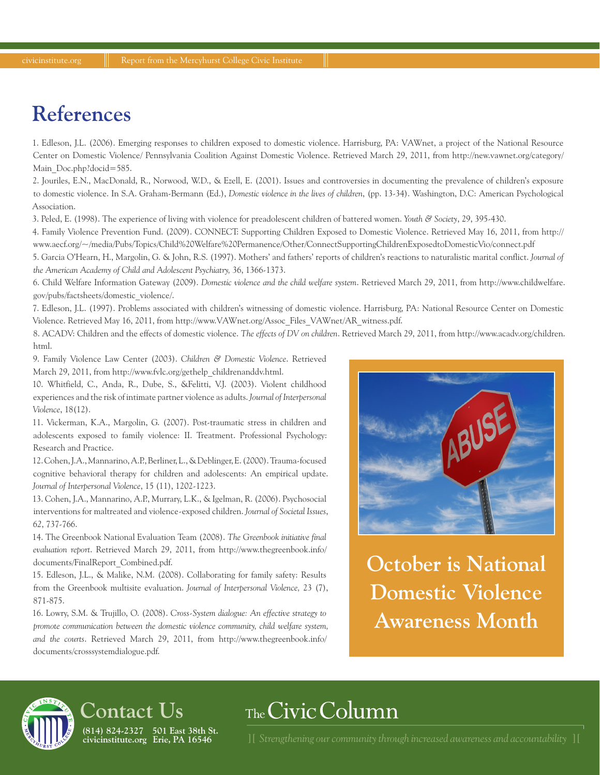# **References**

1. Edleson, J.L. (2006). Emerging responses to children exposed to domestic violence. Harrisburg, PA: VAWnet, a project of the National Resource Center on Domestic Violence/ Pennsylvania Coalition Against Domestic Violence. Retrieved March 29, 2011, from http://new.vawnet.org/category/ Main\_Doc.php?docid=585.

2. Jouriles, E.N., MacDonald, R., Norwood, W.D., & Ezell, E. (2001). Issues and controversies in documenting the prevalence of children's exposure to domestic violence. In S.A. Graham-Bermann (Ed.), *Domestic violence in the lives of children*, (pp. 13-34). Washington, D.C: American Psychological Association.

3. Peled, E. (1998). The experience of living with violence for preadolescent children of battered women. *Youth & Society*, 29, 395-430.

4. Family Violence Prevention Fund. (2009). CONNECT: Supporting Children Exposed to Domestic Violence. Retrieved May 16, 2011, from http:// www.aecf.org/~/media/Pubs/Topics/Child%20Welfare%20Permanence/Other/ConnectSupportingChildrenExposedtoDomesticVio/connect.pdf

5. Garcia O'Hearn, H., Margolin, G. & John, R.S. (1997). Mothers' and fathers' reports of children's reactions to naturalistic marital conflict. *Journal of the American Academy of Child and Adolescent Psychiatry,* 36, 1366-1373.

6. Child Welfare Information Gateway (2009). *Domestic violence and the child welfare system*. Retrieved March 29, 2011, from http://www.childwelfare. gov/pubs/factsheets/domestic\_violence/.

7. Edleson, J.L. (1997). Problems associated with children's witnessing of domestic violence. Harrisburg, PA: National Resource Center on Domestic Violence. Retrieved May 16, 2011, from http://www.VAWnet.org/Assoc\_Files\_VAWnet/AR\_witness.pdf.

8. ACADV: Children and the effects of domestic violence. *The effects of DV on children*. Retrieved March 29, 2011, from http://www.acadv.org/children. html.

9. Family Violence Law Center (2003). *Children & Domestic Violence*. Retrieved March 29, 2011, from http://www.fvlc.org/gethelp\_childrenanddv.html.

10. Whitfield, C., Anda, R., Dube, S., &Felitti, V.J. (2003). Violent childhood experiences and the risk of intimate partner violence as adults. *Journal of Interpersonal Violence*, 18(12).

11. Vickerman, K.A., Margolin, G. (2007). Post-traumatic stress in children and adolescents exposed to family violence: II. Treatment. Professional Psychology: Research and Practice.

12. Cohen, J.A., Mannarino, A.P., Berliner, L., & Deblinger, E. (2000). Trauma-focused cognitive behavioral therapy for children and adolescents: An empirical update. *Journal of Interpersonal Violence*, 15 (11), 1202-1223.

13. Cohen, J.A., Mannarino, A.P., Murrary, L.K., & Igelman, R. (2006). Psychosocial interventions for maltreated and violence-exposed children. *Journal of Societal Issues*, *62*, 737-766.

14. The Greenbook National Evaluation Team (2008). *The Greenbook initiative final evaluation report*. Retrieved March 29, 2011, from http://www.thegreenbook.info/ documents/FinalReport\_Combined.pdf.

15. Edleson, J.L., & Malike, N.M. (2008). Collaborating for family safety: Results from the Greenbook multisite evaluation. *Journal of Interpersonal Violence,* 23 (7), 871-875.

16. Lowry, S.M. & Trujillo, O. (2008). *Cross-System dialogue: An effective strategy to promote communication between the domestic violence community, child welfare system, and the courts*. Retrieved March 29, 2011, from http://www.thegreenbook.info/ documents/crosssystemdialogue.pdf.



**October is National Domestic Violence Awareness Month**

# **Contact Us (814) 824-2327 501 East 38th St.**

**civicinstitute.org Erie, PA 16546**

# The Civic Column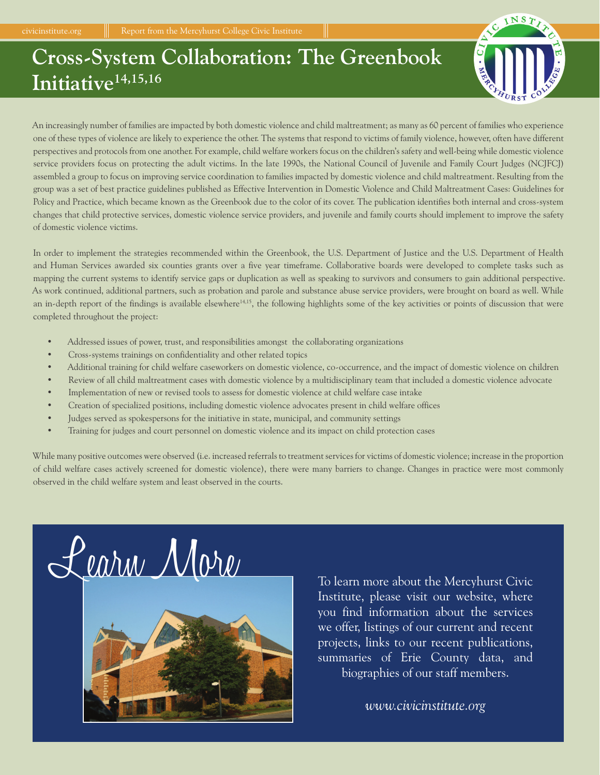# **Cross-System Collaboration: The Greenbook Initiative14,15,16**



An increasingly number of families are impacted by both domestic violence and child maltreatment; as many as 60 percent of families who experience one of these types of violence are likely to experience the other. The systems that respond to victims of family violence, however, often have different perspectives and protocols from one another. For example, child welfare workers focus on the children's safety and well-being while domestic violence service providers focus on protecting the adult victims. In the late 1990s, the National Council of Juvenile and Family Court Judges (NCJFCJ) assembled a group to focus on improving service coordination to families impacted by domestic violence and child maltreatment. Resulting from the group was a set of best practice guidelines published as Effective Intervention in Domestic Violence and Child Maltreatment Cases: Guidelines for Policy and Practice, which became known as the Greenbook due to the color of its cover. The publication identifies both internal and cross-system changes that child protective services, domestic violence service providers, and juvenile and family courts should implement to improve the safety of domestic violence victims.

In order to implement the strategies recommended within the Greenbook, the U.S. Department of Justice and the U.S. Department of Health and Human Services awarded six counties grants over a five year timeframe. Collaborative boards were developed to complete tasks such as mapping the current systems to identify service gaps or duplication as well as speaking to survivors and consumers to gain additional perspective. As work continued, additional partners, such as probation and parole and substance abuse service providers, were brought on board as well. While an in-depth report of the findings is available elsewhere<sup>14,15</sup>, the following highlights some of the key activities or points of discussion that were completed throughout the project:

- Addressed issues of power, trust, and responsibilities amongst the collaborating organizations
- Cross-systems trainings on confidentiality and other related topics
- Additional training for child welfare caseworkers on domestic violence, co-occurrence, and the impact of domestic violence on children
- Review of all child maltreatment cases with domestic violence by a multidisciplinary team that included a domestic violence advocate
- Implementation of new or revised tools to assess for domestic violence at child welfare case intake
- Creation of specialized positions, including domestic violence advocates present in child welfare offices
- Judges served as spokespersons for the initiative in state, municipal, and community settings
- Training for judges and court personnel on domestic violence and its impact on child protection cases

While many positive outcomes were observed (i.e. increased referrals to treatment services for victims of domestic violence; increase in the proportion of child welfare cases actively screened for domestic violence), there were many barriers to change. Changes in practice were most commonly observed in the child welfare system and least observed in the courts.





To learn more about the Mercyhurst Civic Institute, please visit our website, where you find information about the services we offer, listings of our current and recent projects, links to our recent publications, summaries of Erie County data, and biographies of our staff members.

*www.civicinstitute.org*